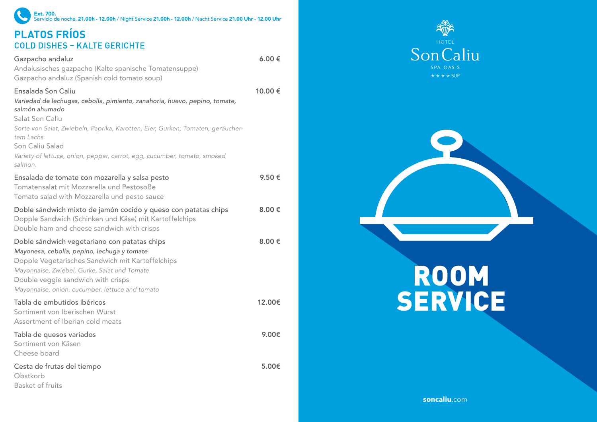## **PLATOS FRÍOS** Ext. 700. Servicio de noche, 21.00h - 12.00h / Night Service 21.00h - 12.00h / Nacht Service 21.00 Uhr - 12.00 Uhr

## **COLD DISHES - KALTE GERICHTE**

Gazpacho andaluz Andalusisches gazpacho (Kalte spanische Tomatensuppe) Gazpacho andaluz (Spanish cold tomato soup) 6.00 € Ensalada Son Caliu *Variedad de lechugas, cebolla, pimiento, zanahoria, huevo, pepino, tomate, salmón ahumado* Salat Son Caliu *Sorte von Salat, Zwiebeln, Paprika, Karotten, Eier, Gurken, Tomaten, geräuchertem Lachs* Son Caliu Salad *Variety of lettuce, onion, pepper, carrot, egg, cucumber, tomato, smoked salmon.* 10.00 € Ensalada de tomate con mozarella y salsa pesto Tomatensalat mit Mozzarella und Pestosoße Tomato salad with Mozzarella und pesto sauce 9.50 € Doble sándwich mixto de jamón cocido y queso con patatas chips Dopple Sandwich (Schinken und Käse) mit Kartoffelchips Double ham and cheese sandwich with crisps 8.00 € Doble sándwich vegetariano con patatas chips *Mayonesa, cebolla, pepino, lechuga y tomate* Dopple Vegetarisches Sandwich mit Kartoffelchips *Mayonnaise, Zwiebel, Gurke, Salat und Tomate* Double veggie sandwich with crisps *Mayonnaise, onion, cucumber, lettuce and tomato* 8.00 € Tabla de embutidos ibéricos Sortiment von Iberischen Wurst Assortment of Iberian cold meats 12.00€ Tabla de quesos variados Sortiment von Käsen Cheese board 9.00€ Cesta de frutas del tiempo Obstkorb Basket of fruits 5.00€